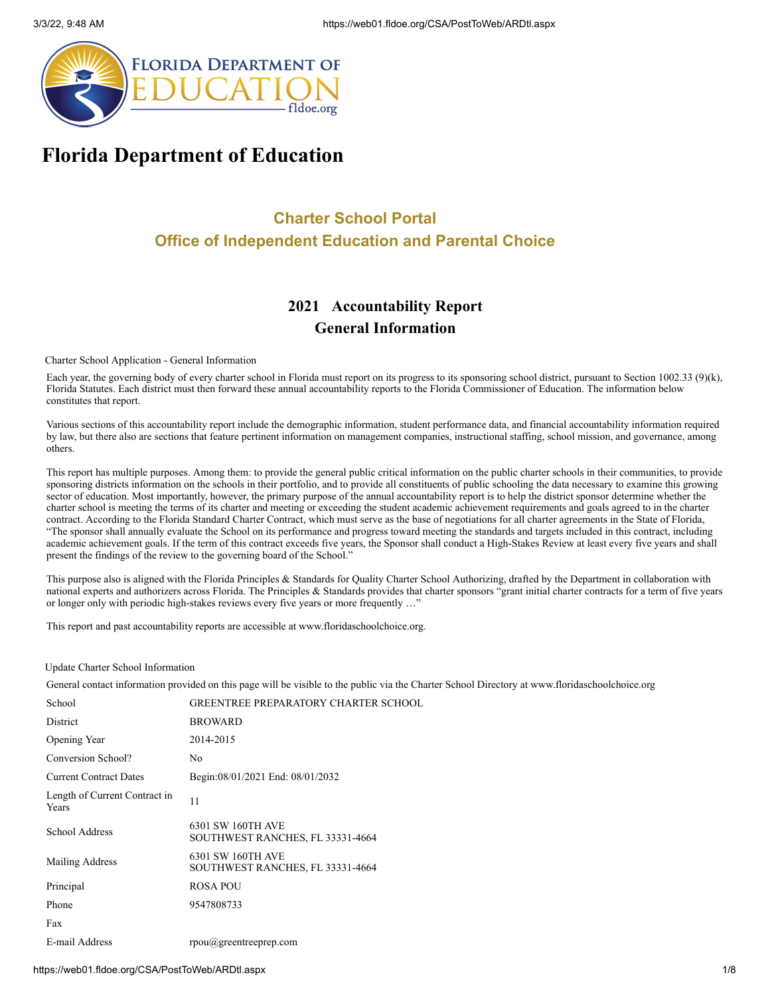

# **Florida Department of Education**

# **Charter School Portal Office of Independent Education and Parental Choice**

# **2021 Accountability Report General Information**

Charter School Application - General Information

Each year, the governing body of every charter school in Florida must report on its progress to its sponsoring school district, pursuant to Section 1002.33 (9)(k), Florida Statutes. Each district must then forward these annual accountability reports to the Florida Commissioner of Education. The information below constitutes that report.

Various sections of this accountability report include the demographic information, student performance data, and financial accountability information required by law, but there also are sections that feature pertinent information on management companies, instructional staffing, school mission, and governance, among others.

This report has multiple purposes. Among them: to provide the general public critical information on the public charter schools in their communities, to provide sponsoring districts information on the schools in their portfolio, and to provide all constituents of public schooling the data necessary to examine this growing sector of education. Most importantly, however, the primary purpose of the annual accountability report is to help the district sponsor determine whether the charter school is meeting the terms of its charter and meeting or exceeding the student academic achievement requirements and goals agreed to in the charter contract. According to the Florida Standard Charter Contract, which must serve as the base of negotiations for all charter agreements in the State of Florida, "The sponsor shall annually evaluate the School on its performance and progress toward meeting the standards and targets included in this contract, including academic achievement goals. If the term of this contract exceeds five years, the Sponsor shall conduct a High-Stakes Review at least every five years and shall present the findings of the review to the governing board of the School."

This purpose also is aligned with the Florida Principles & Standards for Quality Charter School Authorizing, drafted by the Department in collaboration with national experts and authorizers across Florida. The Principles & Standards provides that charter sponsors "grant initial charter contracts for a term of five years or longer only with periodic high-stakes reviews every five years or more frequently ...'

This report and past accountability reports are accessible at www.floridaschoolchoice.org.

### Update Charter School Information

General contact information provided on this page will be visible to the public via the Charter School Directory at www.floridaschoolchoice.org

| School                                 | <b>GREENTREE PREPARATORY CHARTER SCHOOL</b>           |
|----------------------------------------|-------------------------------------------------------|
| District                               | <b>BROWARD</b>                                        |
| Opening Year                           | 2014-2015                                             |
| Conversion School?                     | No                                                    |
| <b>Current Contract Dates</b>          | Begin:08/01/2021 End: 08/01/2032                      |
| Length of Current Contract in<br>Years | 11                                                    |
| School Address                         | 6301 SW 160TH AVE<br>SOUTHWEST RANCHES, FL 33331-4664 |
| Mailing Address                        | 6301 SW 160TH AVE<br>SOUTHWEST RANCHES, FL 33331-4664 |
| Principal                              | ROSA POU                                              |
| Phone                                  | 9547808733                                            |
| Fax                                    |                                                       |
| E-mail Address                         | $r$ pou $(a)$ greentreeprep.com                       |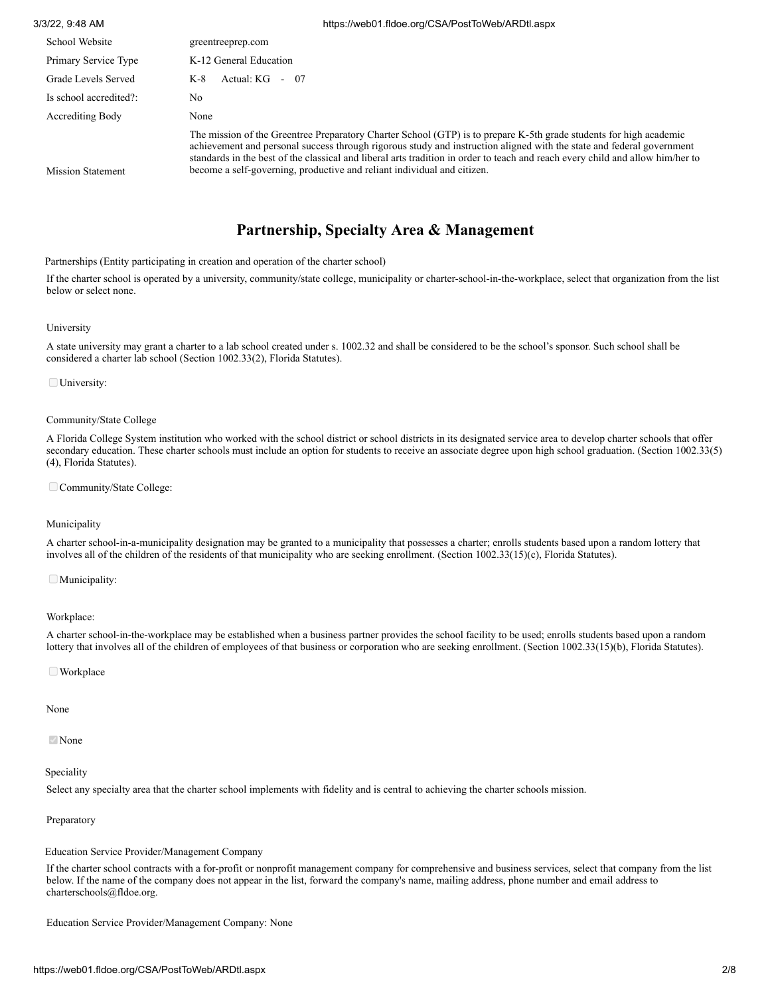| 3/3/22, 9:48 AM          | https://web01.fldoe.org/CSA/PostToWeb/ARDtl.aspx                                                                                                                                                                                                                                                                                                                                                                                                         |
|--------------------------|----------------------------------------------------------------------------------------------------------------------------------------------------------------------------------------------------------------------------------------------------------------------------------------------------------------------------------------------------------------------------------------------------------------------------------------------------------|
| School Website           | greentreeprep.com                                                                                                                                                                                                                                                                                                                                                                                                                                        |
| Primary Service Type     | K-12 General Education                                                                                                                                                                                                                                                                                                                                                                                                                                   |
| Grade Levels Served      | Actual: $KG -$<br>-07<br>K-8                                                                                                                                                                                                                                                                                                                                                                                                                             |
| Is school accredited?:   | No                                                                                                                                                                                                                                                                                                                                                                                                                                                       |
| Accrediting Body         | None                                                                                                                                                                                                                                                                                                                                                                                                                                                     |
| <b>Mission Statement</b> | The mission of the Greentree Preparatory Charter School (GTP) is to prepare K-5th grade students for high academic<br>achievement and personal success through rigorous study and instruction aligned with the state and federal government<br>standards in the best of the classical and liberal arts tradition in order to teach and reach every child and allow him/her to<br>become a self-governing, productive and reliant individual and citizen. |

### **Partnership, Specialty Area & Management**

Partnerships (Entity participating in creation and operation of the charter school)

If the charter school is operated by a university, community/state college, municipality or charter-school-in-the-workplace, select that organization from the list below or select none.

#### University

A state university may grant a charter to a lab school created under s. 1002.32 and shall be considered to be the school's sponsor. Such school shall be considered a charter lab school (Section 1002.33(2), Florida Statutes).

University:

#### Community/State College

A Florida College System institution who worked with the school district or school districts in its designated service area to develop charter schools that offer secondary education. These charter schools must include an option for students to receive an associate degree upon high school graduation. (Section 1002.33(5) (4), Florida Statutes).

Community/State College:

### Municipality

A charter school-in-a-municipality designation may be granted to a municipality that possesses a charter; enrolls students based upon a random lottery that involves all of the children of the residents of that municipality who are seeking enrollment. (Section 1002.33(15)(c), Florida Statutes).

Municipality:

Workplace:

A charter school-in-the-workplace may be established when a business partner provides the school facility to be used; enrolls students based upon a random lottery that involves all of the children of employees of that business or corporation who are seeking enrollment. (Section 1002.33(15)(b), Florida Statutes).

#### ■ Workplace

#### None

**⊘**None

### Speciality

Select any specialty area that the charter school implements with fidelity and is central to achieving the charter schools mission.

### Preparatory

Education Service Provider/Management Company

If the charter school contracts with a for-profit or nonprofit management company for comprehensive and business services, select that company from the list below. If the name of the company does not appear in the list, forward the company's name, mailing address, phone number and email address to charterschools@fldoe.org.

Education Service Provider/Management Company: None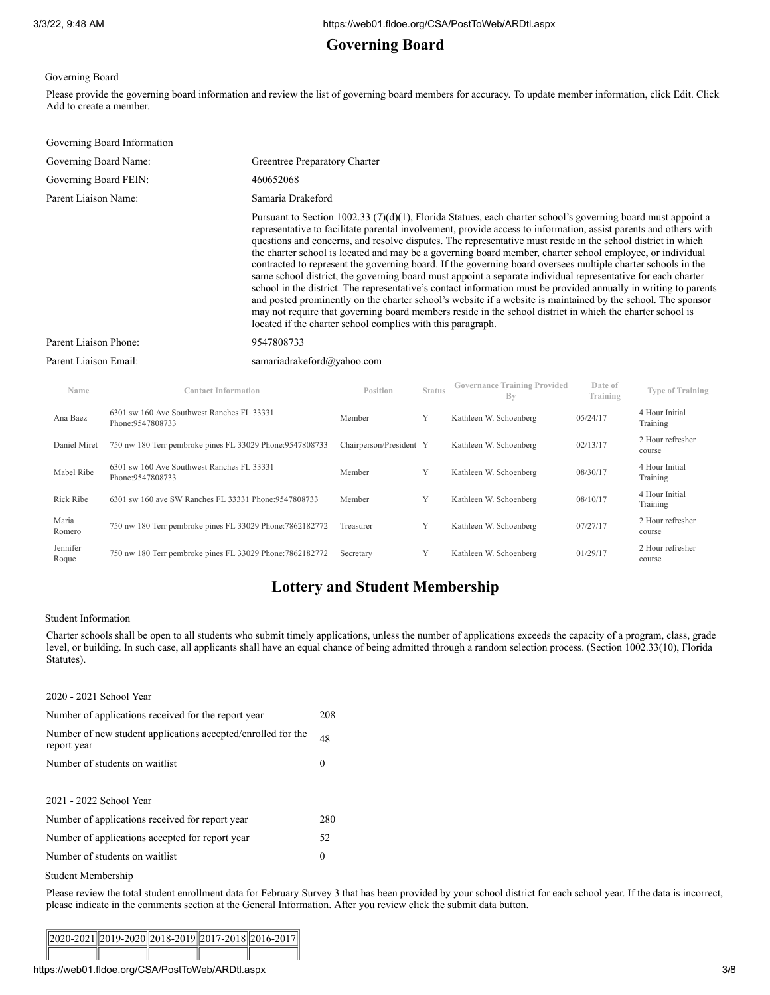# **Governing Board**

Governing Board

Please provide the governing board information and review the list of governing board members for accuracy. To update member information, click Edit. Click Add to create a member.

| Governing Board Information |                                                                                                                                                                                                                                                                                                                                                                                                                                                                                                                                                                                                                                                                                                                                                                                                                                                                                                                                                                                                                                                                                                               |
|-----------------------------|---------------------------------------------------------------------------------------------------------------------------------------------------------------------------------------------------------------------------------------------------------------------------------------------------------------------------------------------------------------------------------------------------------------------------------------------------------------------------------------------------------------------------------------------------------------------------------------------------------------------------------------------------------------------------------------------------------------------------------------------------------------------------------------------------------------------------------------------------------------------------------------------------------------------------------------------------------------------------------------------------------------------------------------------------------------------------------------------------------------|
| Governing Board Name:       | Greentree Preparatory Charter                                                                                                                                                                                                                                                                                                                                                                                                                                                                                                                                                                                                                                                                                                                                                                                                                                                                                                                                                                                                                                                                                 |
| Governing Board FEIN:       | 460652068                                                                                                                                                                                                                                                                                                                                                                                                                                                                                                                                                                                                                                                                                                                                                                                                                                                                                                                                                                                                                                                                                                     |
| Parent Liaison Name:        | Samaria Drakeford                                                                                                                                                                                                                                                                                                                                                                                                                                                                                                                                                                                                                                                                                                                                                                                                                                                                                                                                                                                                                                                                                             |
|                             | Pursuant to Section 1002.33 (7)(d)(1), Florida Statues, each charter school's governing board must appoint a<br>representative to facilitate parental involvement, provide access to information, assist parents and others with<br>questions and concerns, and resolve disputes. The representative must reside in the school district in which<br>the charter school is located and may be a governing board member, charter school employee, or individual<br>contracted to represent the governing board. If the governing board oversees multiple charter schools in the<br>same school district, the governing board must appoint a separate individual representative for each charter<br>school in the district. The representative's contact information must be provided annually in writing to parents<br>and posted prominently on the charter school's website if a website is maintained by the school. The sponsor<br>may not require that governing board members reside in the school district in which the charter school is<br>located if the charter school complies with this paragraph. |
| Parent Liaison Phone:       | 9547808733                                                                                                                                                                                                                                                                                                                                                                                                                                                                                                                                                                                                                                                                                                                                                                                                                                                                                                                                                                                                                                                                                                    |
| Parent Liaison Email:       | samariadrakeford@yahoo.com                                                                                                                                                                                                                                                                                                                                                                                                                                                                                                                                                                                                                                                                                                                                                                                                                                                                                                                                                                                                                                                                                    |
|                             | Covernance Training Provided<br>Date of                                                                                                                                                                                                                                                                                                                                                                                                                                                                                                                                                                                                                                                                                                                                                                                                                                                                                                                                                                                                                                                                       |

| Name              | <b>Contact Information</b>                                      | Position                | <b>Status</b> | <b>Governance Training Provided</b><br>Bv | Date of<br>Training | <b>Type of Training</b>    |
|-------------------|-----------------------------------------------------------------|-------------------------|---------------|-------------------------------------------|---------------------|----------------------------|
| Ana Baez          | 6301 sw 160 Ave Southwest Ranches FL 33331<br>Phone: 9547808733 | Member                  | Y             | Kathleen W. Schoenberg                    | 05/24/17            | 4 Hour Initial<br>Training |
| Daniel Miret      | 750 nw 180 Terr pembroke pines FL 33029 Phone: 9547808733       | Chairperson/President Y |               | Kathleen W. Schoenberg                    | 02/13/17            | 2 Hour refresher<br>course |
| Mabel Ribe        | 6301 sw 160 Ave Southwest Ranches FL 33331<br>Phone: 9547808733 | Member                  | Y             | Kathleen W. Schoenberg                    | 08/30/17            | 4 Hour Initial<br>Training |
| Rick Ribe         | 6301 sw 160 ave SW Ranches FL 33331 Phone:9547808733            | Member                  | Y             | Kathleen W. Schoenberg                    | 08/10/17            | 4 Hour Initial<br>Training |
| Maria<br>Romero   | 750 nw 180 Terr pembroke pines FL 33029 Phone: 7862182772       | Treasurer               | Y             | Kathleen W. Schoenberg                    | 07/27/17            | 2 Hour refresher<br>course |
| Jennifer<br>Roque | 750 nw 180 Terr pembroke pines FL 33029 Phone: 7862182772       | Secretary               | Y             | Kathleen W. Schoenberg                    | 01/29/17            | 2 Hour refresher<br>course |

# **Lottery and Student Membership**

### Student Information

Charter schools shall be open to all students who submit timely applications, unless the number of applications exceeds the capacity of a program, class, grade level, or building. In such case, all applicants shall have an equal chance of being admitted through a random selection process. (Section 1002.33(10), Florida Statutes).

| 2020 - 2021 School Year                                                     |          |
|-----------------------------------------------------------------------------|----------|
| Number of applications received for the report year                         | 208      |
| Number of new student applications accepted/enrolled for the<br>report year | 48       |
| Number of students on waitlist                                              | $\theta$ |
|                                                                             |          |
| 2021 - 2022 School Year                                                     |          |
| Number of applications received for report year                             | 280      |
| Number of applications accepted for report year                             | 52       |
| Number of students on waitlist                                              | 0        |
| Student Membership                                                          |          |

#### Please review the total student enrollment data for February Survey 3 that has been provided by your school district for each school year. If the data is incorrect, please indicate in the comments section at the General Information. After you review click the submit data button.

|  |  |  |  | $  2020-2021  2019-2020  2018-2019  2017-2018  2016-2017  $ |  |
|--|--|--|--|-------------------------------------------------------------|--|
|  |  |  |  |                                                             |  |
|  |  |  |  |                                                             |  |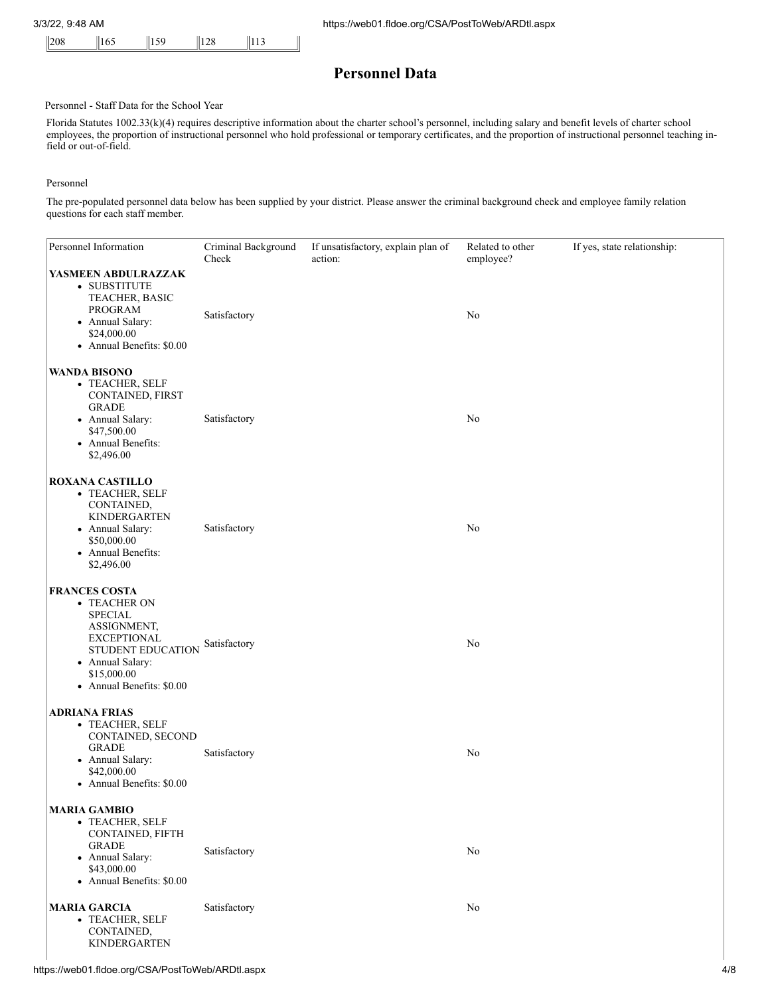### **Personnel Data**

### Personnel - Staff Data for the School Year

Florida Statutes 1002.33(k)(4) requires descriptive information about the charter school's personnel, including salary and benefit levels of charter school employees, the proportion of instructional personnel who hold professional or temporary certificates, and the proportion of instructional personnel teaching infield or out-of-field.

#### Personnel

The pre-populated personnel data below has been supplied by your district. Please answer the criminal background check and employee family relation questions for each staff member.

| Personnel Information                                                                                                                                                            | Criminal Background<br>Check | If unsatisfactory, explain plan of<br>action: | Related to other<br>employee? | If yes, state relationship: |
|----------------------------------------------------------------------------------------------------------------------------------------------------------------------------------|------------------------------|-----------------------------------------------|-------------------------------|-----------------------------|
| YASMEEN ABDULRAZZAK<br>• SUBSTITUTE<br>TEACHER, BASIC<br>PROGRAM<br>• Annual Salary:<br>\$24,000.00<br>• Annual Benefits: \$0.00                                                 | Satisfactory                 |                                               | No                            |                             |
| <b>WANDA BISONO</b><br>• TEACHER, SELF<br>CONTAINED, FIRST<br><b>GRADE</b><br>• Annual Salary:<br>\$47,500.00<br>• Annual Benefits:<br>\$2,496.00                                | Satisfactory                 |                                               | No                            |                             |
| <b>ROXANA CASTILLO</b><br>• TEACHER, SELF<br>CONTAINED,<br><b>KINDERGARTEN</b><br>• Annual Salary:<br>\$50,000.00<br>• Annual Benefits:<br>\$2,496.00                            | Satisfactory                 |                                               | No                            |                             |
| <b>FRANCES COSTA</b><br>• TEACHER ON<br><b>SPECIAL</b><br>ASSIGNMENT,<br><b>EXCEPTIONAL</b><br>STUDENT EDUCATION<br>• Annual Salary:<br>\$15,000.00<br>• Annual Benefits: \$0.00 | Satisfactory                 |                                               | No                            |                             |
| <b>ADRIANA FRIAS</b><br>• TEACHER, SELF<br>CONTAINED, SECOND<br><b>GRADE</b><br>• Annual Salary:<br>\$42,000.00<br>• Annual Benefits: \$0.00                                     | Satisfactory                 |                                               | No                            |                             |
| <b>MARIA GAMBIO</b><br>· TEACHER, SELF<br>CONTAINED, FIFTH<br><b>GRADE</b><br>• Annual Salary:<br>\$43,000.00<br>• Annual Benefits: \$0.00                                       | Satisfactory                 |                                               | No                            |                             |
| <b>MARIA GARCIA</b><br>• TEACHER, SELF<br>CONTAINED,<br><b>KINDERGARTEN</b>                                                                                                      | Satisfactory                 |                                               | No                            |                             |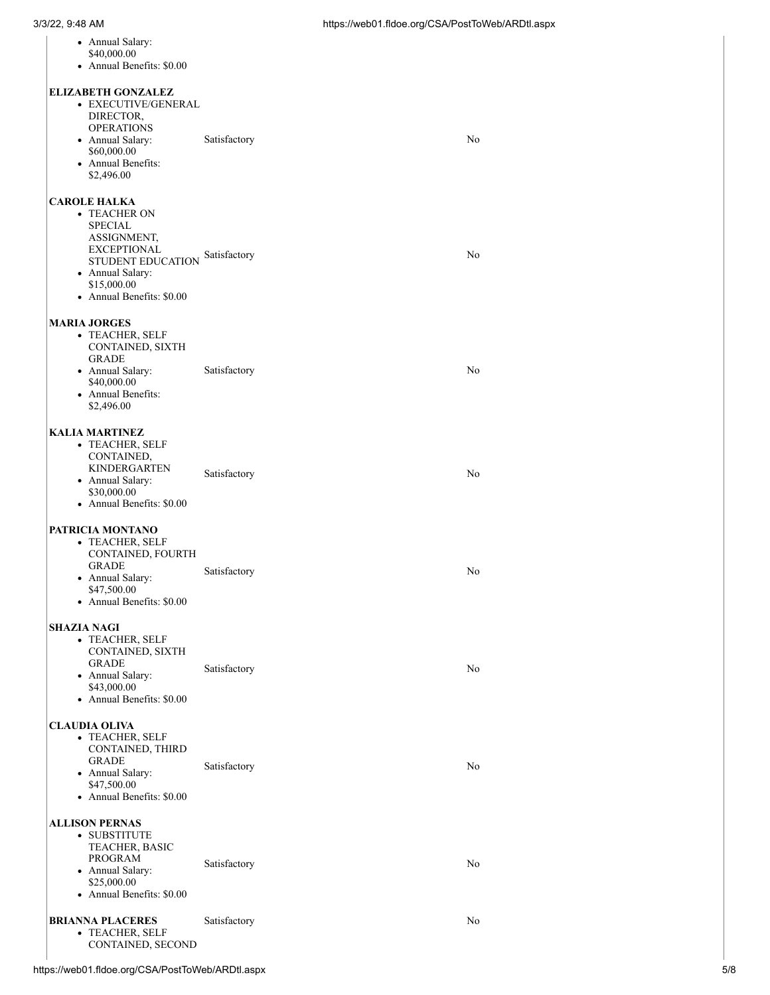| • Annual Salary:<br>\$40,000.00<br>• Annual Benefits: \$0.00                                                                                                             |              |    |
|--------------------------------------------------------------------------------------------------------------------------------------------------------------------------|--------------|----|
| <b>ELIZABETH GONZALEZ</b><br>• EXECUTIVE/GENERAL<br>DIRECTOR,<br><b>OPERATIONS</b><br>• Annual Salary:<br>\$60,000.00<br>• Annual Benefits:<br>\$2,496.00                | Satisfactory | No |
| <b>CAROLE HALKA</b><br>• TEACHER ON<br>SPECIAL<br>ASSIGNMENT,<br><b>EXCEPTIONAL</b><br>STUDENT EDUCATION<br>• Annual Salary:<br>\$15,000.00<br>• Annual Benefits: \$0.00 | Satisfactory | No |
| <b>MARIA JORGES</b><br>• TEACHER, SELF<br>CONTAINED, SIXTH<br><b>GRADE</b><br>• Annual Salary:<br>\$40,000.00<br>• Annual Benefits:<br>\$2,496.00                        | Satisfactory | No |
| <b>KALIA MARTINEZ</b><br>• TEACHER, SELF<br>CONTAINED,<br><b>KINDERGARTEN</b><br>• Annual Salary:<br>\$30,000.00<br>• Annual Benefits: \$0.00                            | Satisfactory | No |
| PATRICIA MONTANO<br>• TEACHER, SELF<br>CONTAINED, FOURTH<br>GRADE<br>• Annual Salary:<br>\$47,500.00<br>• Annual Benefits: \$0.00                                        | Satisfactory | No |
| SHAZIA NAGI<br>• TEACHER, SELF<br>CONTAINED, SIXTH<br>GRADE<br>• Annual Salary:<br>\$43,000.00<br>• Annual Benefits: \$0.00                                              | Satisfactory | No |
| <b>CLAUDIA OLIVA</b><br>• TEACHER, SELF<br>CONTAINED, THIRD<br><b>GRADE</b><br>• Annual Salary:<br>\$47,500.00<br>• Annual Benefits: \$0.00                              | Satisfactory | No |
| <b>ALLISON PERNAS</b><br>• SUBSTITUTE<br>TEACHER, BASIC<br>PROGRAM<br>• Annual Salary:<br>\$25,000.00<br>• Annual Benefits: \$0.00                                       | Satisfactory | No |
| <b>BRIANNA PLACERES</b><br>• TEACHER, SELF<br>CONTAINED, SECOND                                                                                                          | Satisfactory | No |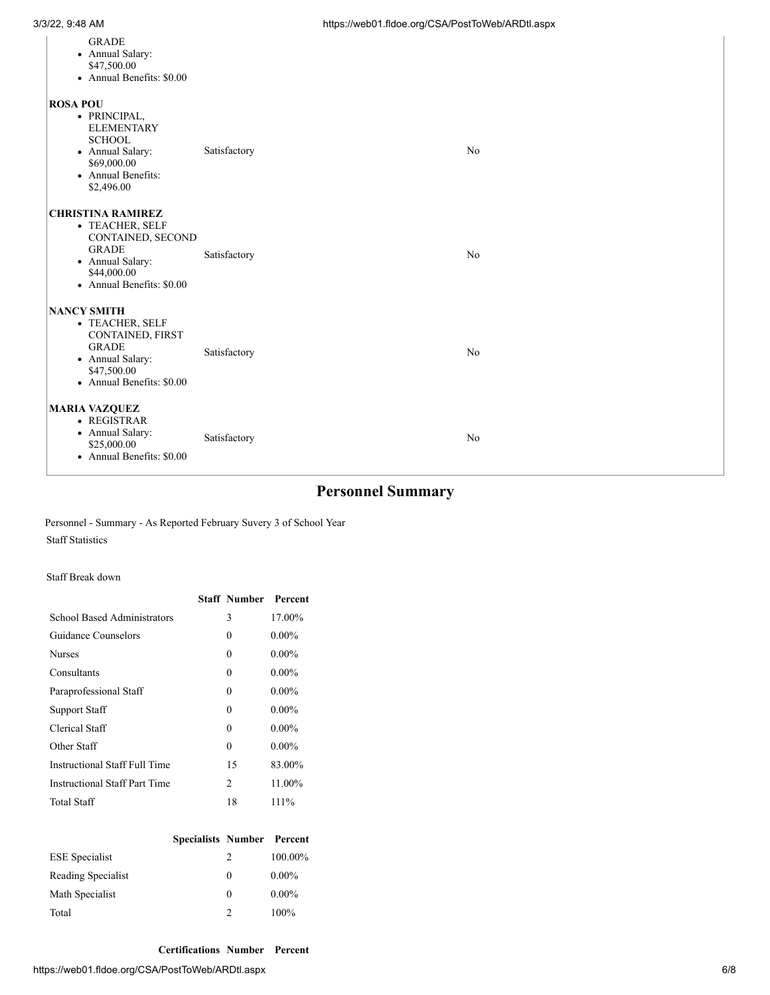| <b>GRADE</b><br>• Annual Salary:<br>\$47,500.00<br>• Annual Benefits: \$0.00                                                                      |              |                |
|---------------------------------------------------------------------------------------------------------------------------------------------------|--------------|----------------|
| <b>ROSA POU</b><br>• PRINCIPAL,<br><b>ELEMENTARY</b><br><b>SCHOOL</b><br>• Annual Salary:<br>\$69,000.00<br>• Annual Benefits:<br>\$2,496.00      | Satisfactory | N <sub>o</sub> |
| <b>CHRISTINA RAMIREZ</b><br>• TEACHER, SELF<br>CONTAINED, SECOND<br><b>GRADE</b><br>• Annual Salary:<br>\$44,000.00<br>• Annual Benefits: \$0.00  | Satisfactory | N <sub>o</sub> |
| <b>NANCY SMITH</b><br>• TEACHER, SELF<br>CONTAINED, FIRST<br><b>GRADE</b><br>• Annual Salary:<br>\$47,500.00<br>$\bullet$ Annual Benefits: \$0.00 | Satisfactory | N <sub>o</sub> |
| <b>MARIA VAZQUEZ</b><br>• REGISTRAR<br>• Annual Salary:<br>\$25,000.00<br>• Annual Benefits: \$0.00                                               | Satisfactory | N <sub>o</sub> |

# **Personnel Summary**

Personnel - Summary - As Reported February Suvery 3 of School Year Staff Statistics

Staff Break down

|                               | <b>Staff Number Percent</b> |          |
|-------------------------------|-----------------------------|----------|
| School Based Administrators   | 3                           | 17.00%   |
| Guidance Counselors           | 0                           | $0.00\%$ |
| <b>Nurses</b>                 | 0                           | $0.00\%$ |
| Consultants                   | 0                           | $0.00\%$ |
| Paraprofessional Staff        | 0                           | $0.00\%$ |
| Support Staff                 | 0                           | $0.00\%$ |
| Clerical Staff                | 0                           | $0.00\%$ |
| Other Staff                   | 0                           | $0.00\%$ |
| Instructional Staff Full Time | 15                          | 83.00%   |
| Instructional Staff Part Time | $\mathfrak{D}$              | 11.00%   |
| Total Staff                   | 18                          | $111\%$  |
|                               |                             |          |

|                       | <b>Specialists Number Percent</b> |               |          |
|-----------------------|-----------------------------------|---------------|----------|
| <b>ESE</b> Specialist |                                   | $\mathcal{L}$ | 100.00%  |
| Reading Specialist    |                                   | 0             | $0.00\%$ |
| Math Specialist       |                                   | 0             | $0.00\%$ |
| Total                 |                                   | $\mathcal{P}$ | $100\%$  |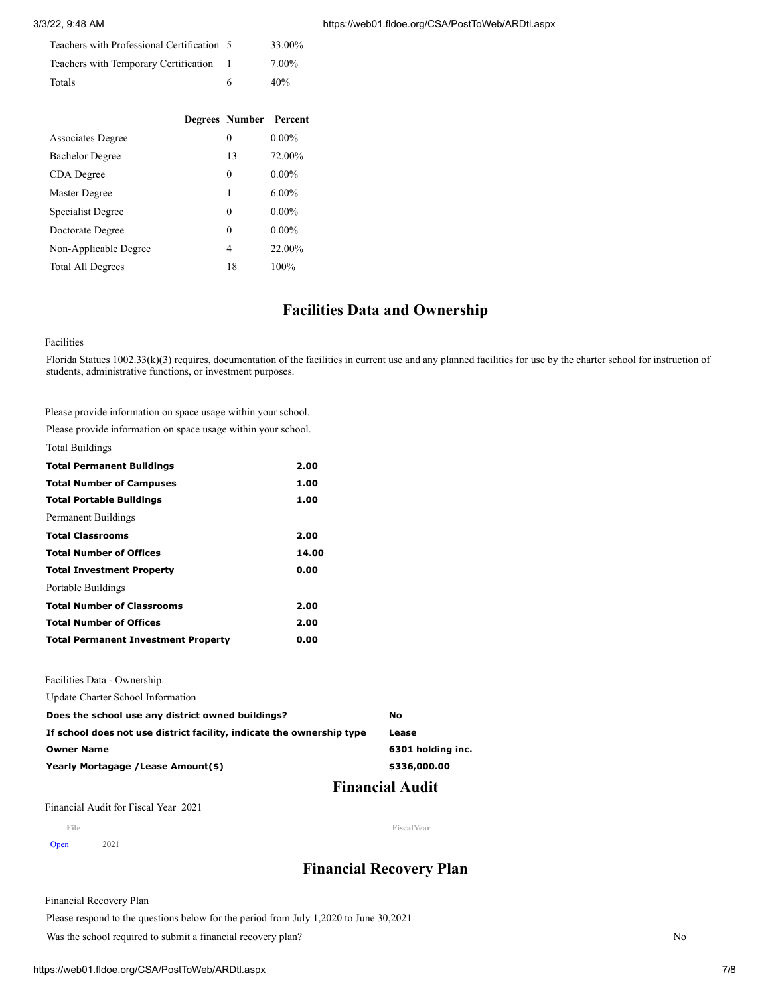#### 3/3/22, 9:48 AM

| Teachers with Professional Certification 5 |   | 33.00% |
|--------------------------------------------|---|--------|
| Teachers with Temporary Certification 1    |   | 7.00%  |
| Totals                                     | 6 | 40%    |

|                          | Degrees Number Percent |          |
|--------------------------|------------------------|----------|
| <b>Associates Degree</b> | 0                      | $0.00\%$ |
| <b>Bachelor Degree</b>   | 13                     | 72.00%   |
| CDA Degree               | 0                      | $0.00\%$ |
| Master Degree            | 1                      | $6.00\%$ |
| Specialist Degree        | 0                      | $0.00\%$ |
| Doctorate Degree         | 0                      | $0.00\%$ |
| Non-Applicable Degree    | 4                      | 22.00%   |
| <b>Total All Degrees</b> | 18                     | 100%     |

### **Facilities Data and Ownership**

#### Facilities

Florida Statues 1002.33(k)(3) requires, documentation of the facilities in current use and any planned facilities for use by the charter school for instruction of students, administrative functions, or investment purposes.

Please provide information on space usage within your school.

| Please provide information on space usage within your school. |       |
|---------------------------------------------------------------|-------|
| Total Buildings                                               |       |
| <b>Total Permanent Buildings</b>                              | 2.00  |
| <b>Total Number of Campuses</b>                               | 1.00  |
| <b>Total Portable Buildings</b>                               | 1.00  |
| Permanent Buildings                                           |       |
| <b>Total Classrooms</b>                                       | 2.00  |
| <b>Total Number of Offices</b>                                | 14.00 |
| <b>Total Investment Property</b>                              | 0.00  |
| Portable Buildings                                            |       |
| <b>Total Number of Classrooms</b>                             | 2.00  |
| <b>Total Number of Offices</b>                                | 2.00  |
| <b>Total Permanent Investment Property</b>                    | 0.00  |

Facilities Data - Ownership.

Update Charter School Information

| Does the school use any district owned buildings?                     | No                |
|-----------------------------------------------------------------------|-------------------|
| If school does not use district facility, indicate the ownership type | Lease             |
| <b>Owner Name</b>                                                     | 6301 holding inc. |
| Yearly Mortagage / Lease Amount(\$)                                   | \$336,000.00      |
|                                                                       |                   |

# **Financial Audit**

Financial Audit for Fiscal Year 2021

**File FiscalYear**

[Open](javascript:__doPostBack() 2021

# **Financial Recovery Plan**

Financial Recovery Plan

Please respond to the questions below for the period from July 1,2020 to June 30,2021

Was the school required to submit a financial recovery plan? No